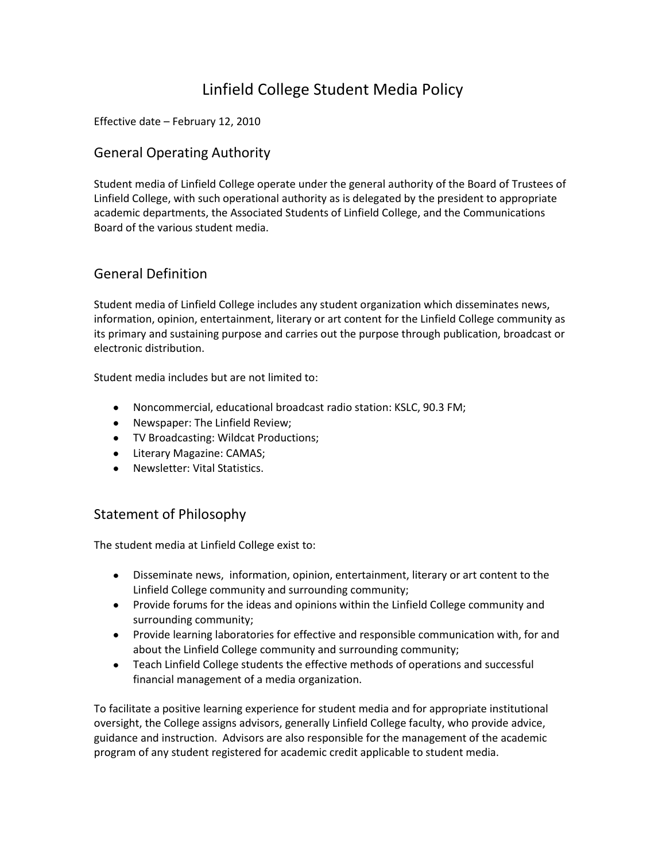# Linfield College Student Media Policy

Effective date – February 12, 2010

#### General Operating Authority

Student media of Linfield College operate under the general authority of the Board of Trustees of Linfield College, with such operational authority as is delegated by the president to appropriate academic departments, the Associated Students of Linfield College, and the Communications Board of the various student media.

### General Definition

Student media of Linfield College includes any student organization which disseminates news, information, opinion, entertainment, literary or art content for the Linfield College community as its primary and sustaining purpose and carries out the purpose through publication, broadcast or electronic distribution.

Student media includes but are not limited to:

- Noncommercial, educational broadcast radio station: KSLC, 90.3 FM;
- Newspaper: The Linfield Review;
- TV Broadcasting: Wildcat Productions;
- Literary Magazine: CAMAS;
- Newsletter: Vital Statistics.

#### Statement of Philosophy

The student media at Linfield College exist to:

- Disseminate news, information, opinion, entertainment, literary or art content to the Linfield College community and surrounding community;
- Provide forums for the ideas and opinions within the Linfield College community and surrounding community;
- Provide learning laboratories for effective and responsible communication with, for and about the Linfield College community and surrounding community;
- Teach Linfield College students the effective methods of operations and successful financial management of a media organization.

To facilitate a positive learning experience for student media and for appropriate institutional oversight, the College assigns advisors, generally Linfield College faculty, who provide advice, guidance and instruction. Advisors are also responsible for the management of the academic program of any student registered for academic credit applicable to student media.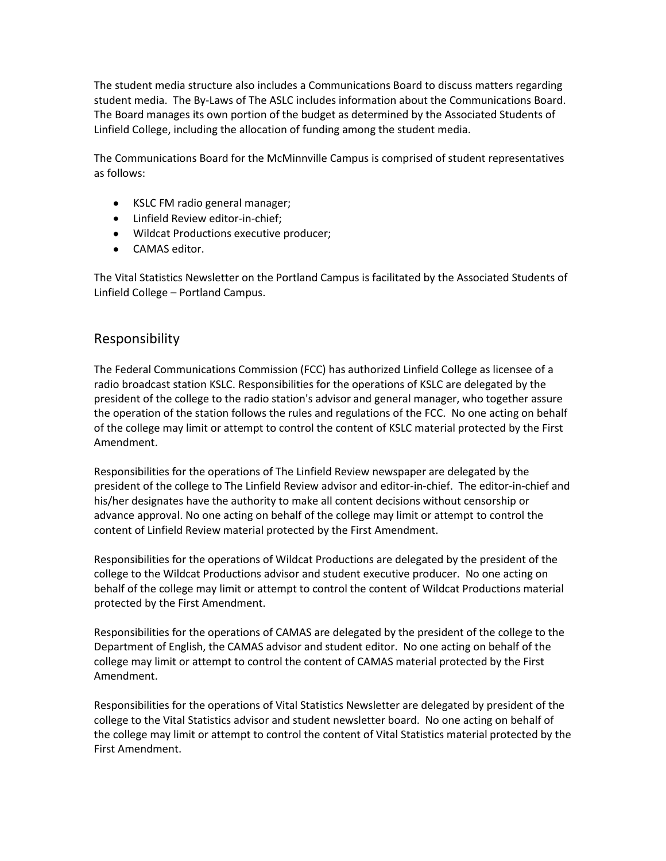The student media structure also includes a Communications Board to discuss matters regarding student media. The By-Laws of The ASLC includes information about the Communications Board. The Board manages its own portion of the budget as determined by the Associated Students of Linfield College, including the allocation of funding among the student media.

The Communications Board for the McMinnville Campus is comprised of student representatives as follows:

- KSLC FM radio general manager;
- Linfield Review editor-in-chief;
- Wildcat Productions executive producer;
- CAMAS editor.

The Vital Statistics Newsletter on the Portland Campus is facilitated by the Associated Students of Linfield College – Portland Campus.

#### Responsibility

The Federal Communications Commission (FCC) has authorized Linfield College as licensee of a radio broadcast station KSLC. Responsibilities for the operations of KSLC are delegated by the president of the college to the radio station's advisor and general manager, who together assure the operation of the station follows the rules and regulations of the FCC. No one acting on behalf of the college may limit or attempt to control the content of KSLC material protected by the First Amendment.

Responsibilities for the operations of The Linfield Review newspaper are delegated by the president of the college to The Linfield Review advisor and editor-in-chief. The editor-in-chief and his/her designates have the authority to make all content decisions without censorship or advance approval. No one acting on behalf of the college may limit or attempt to control the content of Linfield Review material protected by the First Amendment.

Responsibilities for the operations of Wildcat Productions are delegated by the president of the college to the Wildcat Productions advisor and student executive producer. No one acting on behalf of the college may limit or attempt to control the content of Wildcat Productions material protected by the First Amendment.

Responsibilities for the operations of CAMAS are delegated by the president of the college to the Department of English, the CAMAS advisor and student editor. No one acting on behalf of the college may limit or attempt to control the content of CAMAS material protected by the First Amendment.

Responsibilities for the operations of Vital Statistics Newsletter are delegated by president of the college to the Vital Statistics advisor and student newsletter board. No one acting on behalf of the college may limit or attempt to control the content of Vital Statistics material protected by the First Amendment.